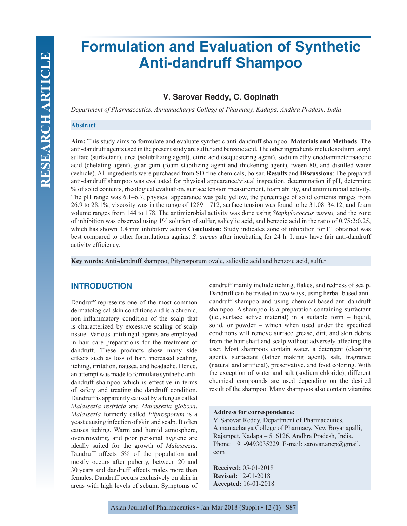# **Formulation and Evaluation of Synthetic Anti-dandruff Shampoo**

# **V. Sarovar Reddy, C. Gopinath**

*Department of Pharmaceutics, Annamacharya College of Pharmacy, Kadapa, Andhra Pradesh, India*

## **Abstract**

**Aim:** This study aims to formulate and evaluate synthetic anti-dandruff shampoo. **Materials and Methods**: The anti-dandruff agents used in the present study are sulfur and benzoic acid. The other ingredients include sodium lauryl sulfate (surfactant), urea (solubilizing agent), citric acid (sequestering agent), sodium ethylenediaminetetraacetic acid (chelating agent), guar gum (foam stabilizing agent and thickening agent), tween 80, and distilled water (vehicle). All ingredients were purchased from SD fine chemicals, boisar. **Results** and **Discussions**: The prepared anti-dandruff shampoo was evaluated for physical appearance/visual inspection, determination if pH, determine % of solid contents, rheological evaluation, surface tension measurement, foam ability, and antimicrobial activity. The pH range was 6.1–6.7, physical appearance was pale yellow, the percentage of solid contents ranges from 26.9 to 28.1%, viscosity was in the range of 1289–1712, surface tension was found to be 31.08–34.12, and foam volume ranges from 144 to 178. The antimicrobial activity was done using *Staphylococcus aureus,* and the zone of inhibition was observed using 1% solution of sulfur, salicylic acid, and benzoic acid in the ratio of 0.75:2:0.25, which has shown 3.4 mm inhibitory action.**Conclusion**: Study indicates zone of inhibition for F1 obtained was best compared to other formulations against *S. aureus* after incubating for 24 h. It may have fair anti-dandruff activity efficiency.

**Key words:** Anti-dandruff shampoo, Pityrosporum ovale, salicylic acid and benzoic acid, sulfur

# **INTRODUCTION**

Dandruff represents one of the most common dermatological skin conditions and is a chronic, non-inflammatory condition of the scalp that is characterized by excessive scaling of scalp tissue. Various antifungal agents are employed in hair care preparations for the treatment of dandruff. These products show many side effects such as loss of hair, increased scaling, itching, irritation, nausea, and headache. Hence, an attempt was made to formulate synthetic antidandruff shampoo which is effective in terms of safety and treating the dandruff condition. Dandruff is apparently caused by a fungus called *Malassezia restricta* and *Malassezia globosa*. *Malassezia* formerly called *Pityrosporum* is a yeast causing infection of skin and scalp. It often causes itching. Warm and humid atmosphere, overcrowding, and poor personal hygiene are ideally suited for the growth of *Malassezia*. Dandruff affects 5% of the population and mostly occurs after puberty, between 20 and 30 years and dandruff affects males more than females. Dandruff occurs exclusively on skin in areas with high levels of sebum. Symptoms of dandruff mainly include itching, flakes, and redness of scalp. Dandruff can be treated in two ways, using herbal-based antidandruff shampoo and using chemical-based anti-dandruff shampoo. A shampoo is a preparation containing surfactant (i.e., surface active material) in a suitable form – liquid, solid, or powder – which when used under the specified conditions will remove surface grease, dirt, and skin debris from the hair shaft and scalp without adversely affecting the user. Most shampoos contain water, a detergent (cleaning agent), surfactant (lather making agent), salt, fragrance (natural and artificial), preservative, and food coloring. With the exception of water and salt (sodium chloride), different chemical compounds are used depending on the desired result of the shampoo. Many shampoos also contain vitamins

## **Address for correspondence:**

V. Sarovar Reddy, Department of Pharmaceutics, Annamacharya College of Pharmacy, New Boyanapalli, Rajampet, Kadapa – 516126, Andhra Pradesh, India. Phone: +91-9493035229. E-mail: sarovar.ancp@gmail. com

**Received:** 05-01-2018 **Revised:** 12-01-2018 **Accepted:** 16-01-2018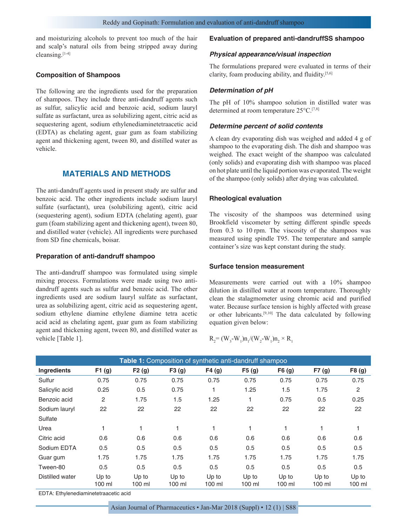and moisturizing alcohols to prevent too much of the hair and scalp's natural oils from being stripped away during cleansing.[1-4]

#### **Composition of Shampoos**

The following are the ingredients used for the preparation of shampoos. They include three anti-dandruff agents such as sulfur, salicylic acid and benzoic acid, sodium lauryl sulfate as surfactant, urea as solubilizing agent, citric acid as sequestering agent, sodium ethylenediaminetetraacetic acid (EDTA) as chelating agent, guar gum as foam stabilizing agent and thickening agent, tween 80, and distilled water as vehicle.

# **MATERIALS AND METHODS**

The anti-dandruff agents used in present study are sulfur and benzoic acid. The other ingredients include sodium lauryl sulfate (surfactant), urea (solubilizing agent), citric acid (sequestering agent), sodium EDTA (chelating agent), guar gum (foam stabilizing agent and thickening agent), tween 80, and distilled water (vehicle). All ingredients were purchased from SD fine chemicals, boisar.

## **Preparation of anti-dandruff shampoo**

The anti-dandruff shampoo was formulated using simple mixing process. Formulations were made using two antidandruff agents such as sulfur and benzoic acid. The other ingredients used are sodium lauryl sulfate as surfactant, urea as solubilizing agent, citric acid as sequestering agent, sodium ethylene diamine ethylene diamine tetra acetic acid acid as chelating agent, guar gum as foam stabilizing agent and thickening agent, tween 80, and distilled water as vehicle [Table 1].

#### **Evaluation of prepared anti-dandruffSS shampoo**

#### *Physical appearance/visual inspection*

The formulations prepared were evaluated in terms of their clarity, foam producing ability, and fluidity.[5,6]

#### *Determination of pH*

The pH of 10% shampoo solution in distilled water was determined at room temperature 25°C.[7,8]

#### *Determine percent of solid contents*

A clean dry evaporating dish was weighed and added 4 g of shampoo to the evaporating dish. The dish and shampoo was weighed. The exact weight of the shampoo was calculated (only solids) and evaporating dish with shampoo was placed on hot plate until the liquid portion was evaporated. The weight of the shampoo (only solids) after drying was calculated.

#### **Rheological evaluation**

The viscosity of the shampoos was determined using Brookfield viscometer by setting different spindle speeds from 0.3 to 10 rpm. The viscosity of the shampoos was measured using spindle T95. The temperature and sample container's size was kept constant during the study.

#### **Surface tension measurement**

Measurements were carried out with a 10% shampoo dilution in distilled water at room temperature. Thoroughly clean the stalagmometer using chromic acid and purified water. Because surface tension is highly affected with grease or other lubricants.[9,10] The data calculated by following equation given below:

$$
R_2 = (W_3-W_1)n_1/(W_2-W_1)n_2 \times R_1
$$

| Table 1: Composition of synthetic anti-dandruff shampoo |                 |                   |                 |                 |                 |                 |                 |                 |
|---------------------------------------------------------|-----------------|-------------------|-----------------|-----------------|-----------------|-----------------|-----------------|-----------------|
| <b>Ingredients</b>                                      | F1(g)           | F2(g)             | F3(g)           | F4(g)           | F5(g)           | F6(g)           | F7(g)           | F8(g)           |
| Sulfur                                                  | 0.75            | 0.75              | 0.75            | 0.75            | 0.75            | 0.75            | 0.75            | 0.75            |
| Salicylic acid                                          | 0.25            | 0.5               | 0.75            |                 | 1.25            | 1.5             | 1.75            | 2               |
| Benzoic acid                                            | 2               | 1.75              | 1.5             | 1.25            |                 | 0.75            | 0.5             | 0.25            |
| Sodium lauryl                                           | 22              | 22                | 22              | 22              | 22              | 22              | 22              | 22              |
| Sulfate                                                 |                 |                   |                 |                 |                 |                 |                 |                 |
| Urea                                                    | 1               |                   |                 | 1               |                 |                 |                 |                 |
| Citric acid                                             | 0.6             | 0.6               | 0.6             | 0.6             | 0.6             | 0.6             | 0.6             | 0.6             |
| Sodium EDTA                                             | 0.5             | 0.5               | 0.5             | 0.5             | 0.5             | 0.5             | 0.5             | 0.5             |
| Guar gum                                                | 1.75            | 1.75              | 1.75            | 1.75            | 1.75            | 1.75            | 1.75            | 1.75            |
| Tween-80                                                | 0.5             | 0.5               | 0.5             | 0.5             | 0.5             | 0.5             | 0.5             | 0.5             |
| Distilled water                                         | Up to<br>100 ml | Up to<br>$100$ ml | Up to<br>100 ml | Up to<br>100 ml | Up to<br>100 ml | Up to<br>100 ml | Up to<br>100 ml | Up to<br>100 ml |

EDTA: Ethylenediaminetetraacetic acid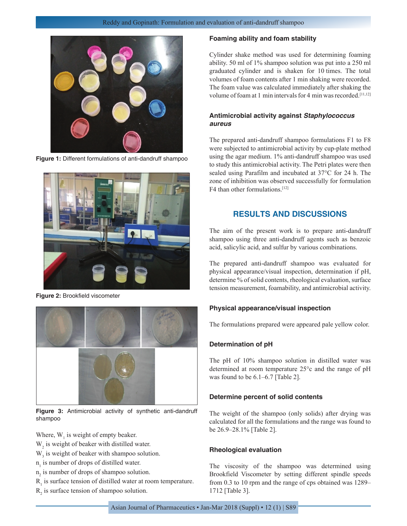

**Figure 1:** Different formulations of anti-dandruff shampoo



**Figure 2:** Brookfield viscometer



**Figure 3:** Antimicrobial activity of synthetic anti-dandruff shampoo

Where,  $W_1$  is weight of empty beaker.

- $W<sub>2</sub>$  is weight of beaker with distilled water.
- $W<sub>3</sub>$  is weight of beaker with shampoo solution.
- $n<sub>1</sub>$  is number of drops of distilled water.
- $n<sub>2</sub>$  is number of drops of shampoo solution.
- $R<sub>1</sub>$  is surface tension of distilled water at room temperature.
- $R<sub>2</sub>$  is surface tension of shampoo solution.

## **Foaming ability and foam stability**

Cylinder shake method was used for determining foaming ability. 50 ml of 1% shampoo solution was put into a 250 ml graduated cylinder and is shaken for 10 times. The total volumes of foam contents after 1 min shaking were recorded. The foam value was calculated immediately after shaking the volume of foam at 1 min intervals for 4 min was recorded.<sup>[11,12]</sup>

# **Antimicrobial activity against** *Staphylococcus aureus*

The prepared anti-dandruff shampoo formulations F1 to F8 were subjected to antimicrobial activity by cup-plate method using the agar medium. 1% anti-dandruff shampoo was used to study this antimicrobial activity. The Petri plates were then sealed using Parafilm and incubated at 37°C for 24 h. The zone of inhibition was observed successfully for formulation F4 than other formulations.[12]

# **RESULTS AND DISCUSSIONS**

The aim of the present work is to prepare anti-dandruff shampoo using three anti-dandruff agents such as benzoic acid, salicylic acid, and sulfur by various combinations.

The prepared anti-dandruff shampoo was evaluated for physical appearance/visual inspection, determination if pH, determine % of solid contents, rheological evaluation, surface tension measurement, foamability, and antimicrobial activity.

### **Physical appearance/visual inspection**

The formulations prepared were appeared pale yellow color.

## **Determination of pH**

The pH of 10% shampoo solution in distilled water was determined at room temperature 25°c and the range of pH was found to be 6.1–6.7 [Table 2].

#### **Determine percent of solid contents**

The weight of the shampoo (only solids) after drying was calculated for all the formulations and the range was found to be 26.9–28.1% [Table 2].

#### **Rheological evaluation**

The viscosity of the shampoo was determined using Brookfield Viscometer by setting different spindle speeds from 0.3 to 10 rpm and the range of cps obtained was 1289– 1712 [Table 3].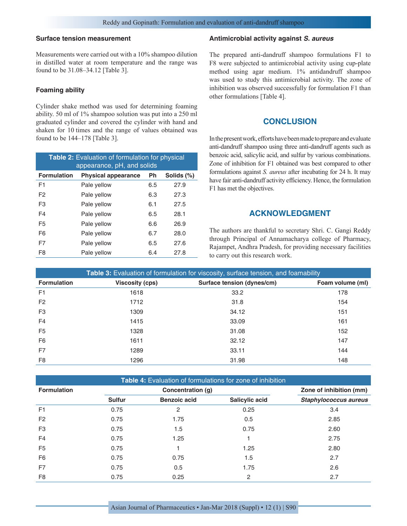## **Surface tension measurement**

Measurements were carried out with a 10% shampoo dilution in distilled water at room temperature and the range was found to be 31.08–34.12 [Table 3].

#### **Foaming ability**

Cylinder shake method was used for determining foaming ability. 50 ml of 1% shampoo solution was put into a 250 ml graduated cylinder and covered the cylinder with hand and shaken for 10 times and the range of values obtained was found to be 144–178 [Table 3].

| <b>Table 2:</b> Evaluation of formulation for physical<br>appearance, pH, and solids |                            |     |            |  |  |
|--------------------------------------------------------------------------------------|----------------------------|-----|------------|--|--|
| <b>Formulation</b>                                                                   | <b>Physical appearance</b> | Ph  | Solids (%) |  |  |
| F <sub>1</sub>                                                                       | Pale yellow                | 6.5 | 27.9       |  |  |
| F2                                                                                   | Pale yellow                | 6.3 | 27.3       |  |  |
| F <sub>3</sub>                                                                       | Pale yellow                | 6.1 | 27.5       |  |  |
| F4                                                                                   | Pale yellow                | 6.5 | 28.1       |  |  |
| F <sub>5</sub>                                                                       | Pale yellow                | 6.6 | 26.9       |  |  |
| F <sub>6</sub>                                                                       | Pale yellow                | 6.7 | 28.0       |  |  |
| F7                                                                                   | Pale yellow                | 6.5 | 27.6       |  |  |
| F8                                                                                   | Pale yellow                | 6.4 | 27.8       |  |  |

### **Antimicrobial activity against** *S. aureus*

The prepared anti-dandruff shampoo formulations F1 to F8 were subjected to antimicrobial activity using cup-plate method using agar medium. 1% antidandruff shampoo was used to study this antimicrobial activity. The zone of inhibition was observed successfully for formulation F1 than other formulations [Table 4].

# **CONCLUSION**

In the present work, efforts have been made to prepare and evaluate anti-dandruff shampoo using three anti-dandruff agents such as benzoic acid, salicylic acid, and sulfur by various combinations. Zone of inhibition for F1 obtained was best compared to other formulations against *S. aureus* after incubating for 24 h. It may have fair anti-dandruff activity efficiency. Hence, the formulation F1 has met the objectives.

# **ACKNOWLEDGMENT**

The authors are thankful to secretary Shri. C. Gangi Reddy through Principal of Annamacharya college of Pharmacy, Rajampet, Andhra Pradesh, for providing necessary facilities to carry out this research work.

| Table 3: Evaluation of formulation for viscosity, surface tension, and foamability |                        |                            |                  |  |
|------------------------------------------------------------------------------------|------------------------|----------------------------|------------------|--|
| <b>Formulation</b>                                                                 | <b>Viscosity (cps)</b> | Surface tension (dynes/cm) | Foam volume (ml) |  |
| F <sub>1</sub>                                                                     | 1618                   | 33.2                       | 178              |  |
| F <sub>2</sub>                                                                     | 1712                   | 31.8                       | 154              |  |
| F <sub>3</sub>                                                                     | 1309                   | 34.12                      | 151              |  |
| F <sub>4</sub>                                                                     | 1415                   | 33.09                      | 161              |  |
| F <sub>5</sub>                                                                     | 1328                   | 31.08                      | 152              |  |
| F <sub>6</sub>                                                                     | 1611                   | 32.12                      | 147              |  |
| F7                                                                                 | 1289                   | 33.11                      | 144              |  |
| F <sub>8</sub>                                                                     | 1296                   | 31.98                      | 148              |  |

|  | <b>Table 4:</b> Evaluation of formulations for zone of inhibition |  |
|--|-------------------------------------------------------------------|--|
|--|-------------------------------------------------------------------|--|

| <b>Formulation</b> |               | Concentration (g)   | Zone of inhibition (mm) |                              |
|--------------------|---------------|---------------------|-------------------------|------------------------------|
|                    | <b>Sulfur</b> | <b>Benzoic acid</b> | Salicylic acid          | <b>Staphylococcus aureus</b> |
| F <sub>1</sub>     | 0.75          | $\overline{2}$      | 0.25                    | 3.4                          |
| F <sub>2</sub>     | 0.75          | 1.75                | 0.5                     | 2.85                         |
| F <sub>3</sub>     | 0.75          | 1.5                 | 0.75                    | 2.60                         |
| F <sub>4</sub>     | 0.75          | 1.25                |                         | 2.75                         |
| F <sub>5</sub>     | 0.75          |                     | 1.25                    | 2.80                         |
| F <sub>6</sub>     | 0.75          | 0.75                | 1.5                     | 2.7                          |
| F <sub>7</sub>     | 0.75          | 0.5                 | 1.75                    | 2.6                          |
| F <sub>8</sub>     | 0.75          | 0.25                | 2                       | 2.7                          |